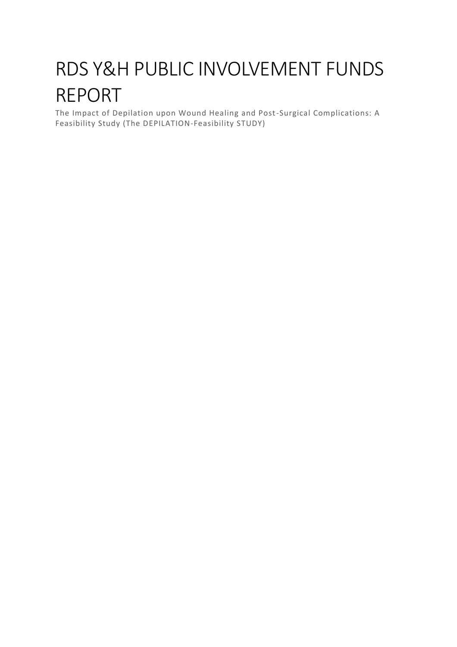# RDS Y&H PUBLIC INVOLVEMENT FUNDS REPORT

The Impact of Depilation upon Wound Healing and Post-Surgical Complications: A Feasibility Study (The DEPILATION-Feasibility STUDY)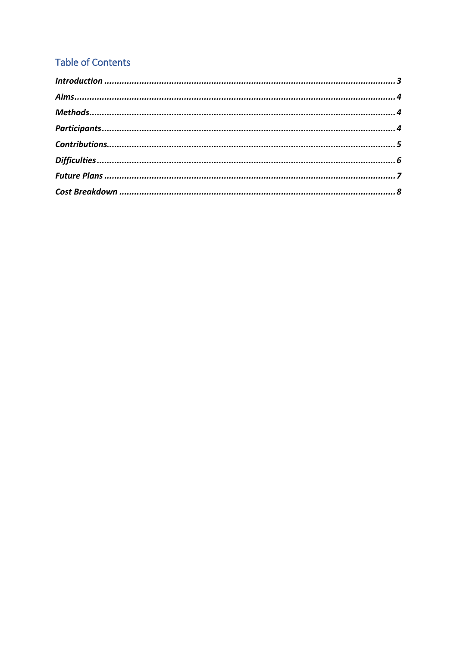# **Table of Contents**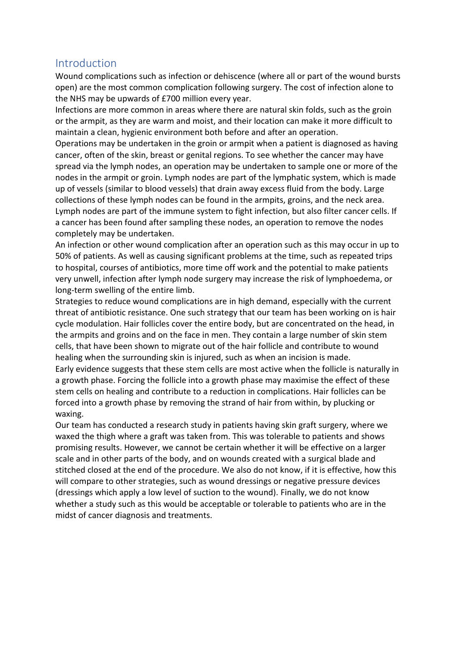#### <span id="page-2-0"></span>Introduction

Wound complications such as infection or dehiscence (where all or part of the wound bursts open) are the most common complication following surgery. The cost of infection alone to the NHS may be upwards of £700 million every year.

Infections are more common in areas where there are natural skin folds, such as the groin or the armpit, as they are warm and moist, and their location can make it more difficult to maintain a clean, hygienic environment both before and after an operation.

Operations may be undertaken in the groin or armpit when a patient is diagnosed as having cancer, often of the skin, breast or genital regions. To see whether the cancer may have spread via the lymph nodes, an operation may be undertaken to sample one or more of the nodes in the armpit or groin. Lymph nodes are part of the lymphatic system, which is made up of vessels (similar to blood vessels) that drain away excess fluid from the body. Large collections of these lymph nodes can be found in the armpits, groins, and the neck area. Lymph nodes are part of the immune system to fight infection, but also filter cancer cells. If a cancer has been found after sampling these nodes, an operation to remove the nodes completely may be undertaken.

An infection or other wound complication after an operation such as this may occur in up to 50% of patients. As well as causing significant problems at the time, such as repeated trips to hospital, courses of antibiotics, more time off work and the potential to make patients very unwell, infection after lymph node surgery may increase the risk of lymphoedema, or long-term swelling of the entire limb.

Strategies to reduce wound complications are in high demand, especially with the current threat of antibiotic resistance. One such strategy that our team has been working on is hair cycle modulation. Hair follicles cover the entire body, but are concentrated on the head, in the armpits and groins and on the face in men. They contain a large number of skin stem cells, that have been shown to migrate out of the hair follicle and contribute to wound healing when the surrounding skin is injured, such as when an incision is made.

Early evidence suggests that these stem cells are most active when the follicle is naturally in a growth phase. Forcing the follicle into a growth phase may maximise the effect of these stem cells on healing and contribute to a reduction in complications. Hair follicles can be forced into a growth phase by removing the strand of hair from within, by plucking or waxing.

Our team has conducted a research study in patients having skin graft surgery, where we waxed the thigh where a graft was taken from. This was tolerable to patients and shows promising results. However, we cannot be certain whether it will be effective on a larger scale and in other parts of the body, and on wounds created with a surgical blade and stitched closed at the end of the procedure. We also do not know, if it is effective, how this will compare to other strategies, such as wound dressings or negative pressure devices (dressings which apply a low level of suction to the wound). Finally, we do not know whether a study such as this would be acceptable or tolerable to patients who are in the midst of cancer diagnosis and treatments.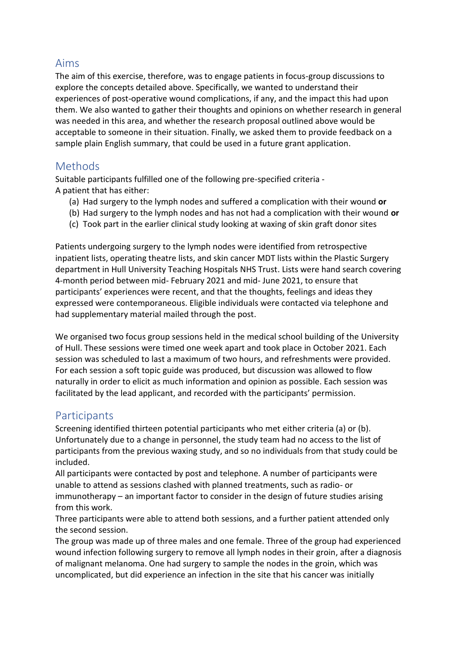#### <span id="page-3-0"></span>Aims

The aim of this exercise, therefore, was to engage patients in focus-group discussions to explore the concepts detailed above. Specifically, we wanted to understand their experiences of post-operative wound complications, if any, and the impact this had upon them. We also wanted to gather their thoughts and opinions on whether research in general was needed in this area, and whether the research proposal outlined above would be acceptable to someone in their situation. Finally, we asked them to provide feedback on a sample plain English summary, that could be used in a future grant application.

# <span id="page-3-1"></span>**Methods**

Suitable participants fulfilled one of the following pre-specified criteria - A patient that has either:

- (a) Had surgery to the lymph nodes and suffered a complication with their wound **or**
- (b) Had surgery to the lymph nodes and has not had a complication with their wound **or**
- (c) Took part in the earlier clinical study looking at waxing of skin graft donor sites

Patients undergoing surgery to the lymph nodes were identified from retrospective inpatient lists, operating theatre lists, and skin cancer MDT lists within the Plastic Surgery department in Hull University Teaching Hospitals NHS Trust. Lists were hand search covering 4-month period between mid- February 2021 and mid- June 2021, to ensure that participants' experiences were recent, and that the thoughts, feelings and ideas they expressed were contemporaneous. Eligible individuals were contacted via telephone and had supplementary material mailed through the post.

We organised two focus group sessions held in the medical school building of the University of Hull. These sessions were timed one week apart and took place in October 2021. Each session was scheduled to last a maximum of two hours, and refreshments were provided. For each session a soft topic guide was produced, but discussion was allowed to flow naturally in order to elicit as much information and opinion as possible. Each session was facilitated by the lead applicant, and recorded with the participants' permission.

#### <span id="page-3-2"></span>**Participants**

Screening identified thirteen potential participants who met either criteria (a) or (b). Unfortunately due to a change in personnel, the study team had no access to the list of participants from the previous waxing study, and so no individuals from that study could be included.

All participants were contacted by post and telephone. A number of participants were unable to attend as sessions clashed with planned treatments, such as radio- or immunotherapy – an important factor to consider in the design of future studies arising from this work.

Three participants were able to attend both sessions, and a further patient attended only the second session.

The group was made up of three males and one female. Three of the group had experienced wound infection following surgery to remove all lymph nodes in their groin, after a diagnosis of malignant melanoma. One had surgery to sample the nodes in the groin, which was uncomplicated, but did experience an infection in the site that his cancer was initially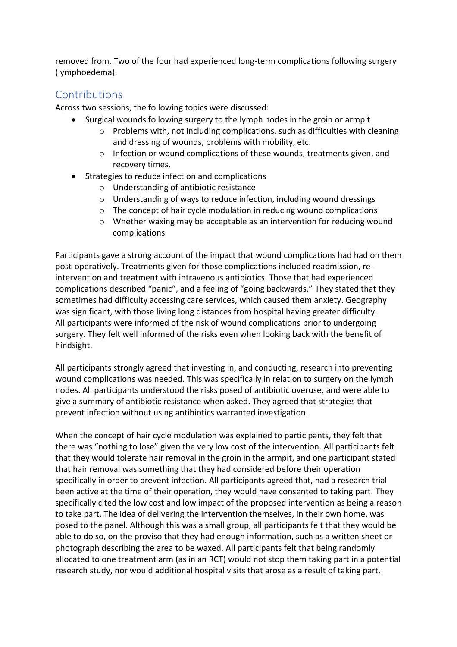removed from. Two of the four had experienced long-term complications following surgery (lymphoedema).

### <span id="page-4-0"></span>**Contributions**

Across two sessions, the following topics were discussed:

- Surgical wounds following surgery to the lymph nodes in the groin or armpit
	- $\circ$  Problems with, not including complications, such as difficulties with cleaning and dressing of wounds, problems with mobility, etc.
	- $\circ$  Infection or wound complications of these wounds, treatments given, and recovery times.
- Strategies to reduce infection and complications
	- o Understanding of antibiotic resistance
	- o Understanding of ways to reduce infection, including wound dressings
	- o The concept of hair cycle modulation in reducing wound complications
	- $\circ$  Whether waxing may be acceptable as an intervention for reducing wound complications

Participants gave a strong account of the impact that wound complications had had on them post-operatively. Treatments given for those complications included readmission, reintervention and treatment with intravenous antibiotics. Those that had experienced complications described "panic", and a feeling of "going backwards." They stated that they sometimes had difficulty accessing care services, which caused them anxiety. Geography was significant, with those living long distances from hospital having greater difficulty. All participants were informed of the risk of wound complications prior to undergoing surgery. They felt well informed of the risks even when looking back with the benefit of hindsight.

All participants strongly agreed that investing in, and conducting, research into preventing wound complications was needed. This was specifically in relation to surgery on the lymph nodes. All participants understood the risks posed of antibiotic overuse, and were able to give a summary of antibiotic resistance when asked. They agreed that strategies that prevent infection without using antibiotics warranted investigation.

When the concept of hair cycle modulation was explained to participants, they felt that there was "nothing to lose" given the very low cost of the intervention. All participants felt that they would tolerate hair removal in the groin in the armpit, and one participant stated that hair removal was something that they had considered before their operation specifically in order to prevent infection. All participants agreed that, had a research trial been active at the time of their operation, they would have consented to taking part. They specifically cited the low cost and low impact of the proposed intervention as being a reason to take part. The idea of delivering the intervention themselves, in their own home, was posed to the panel. Although this was a small group, all participants felt that they would be able to do so, on the proviso that they had enough information, such as a written sheet or photograph describing the area to be waxed. All participants felt that being randomly allocated to one treatment arm (as in an RCT) would not stop them taking part in a potential research study, nor would additional hospital visits that arose as a result of taking part.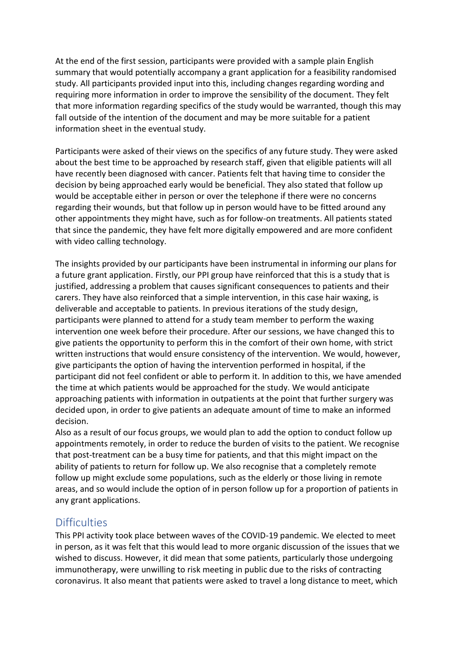At the end of the first session, participants were provided with a sample plain English summary that would potentially accompany a grant application for a feasibility randomised study. All participants provided input into this, including changes regarding wording and requiring more information in order to improve the sensibility of the document. They felt that more information regarding specifics of the study would be warranted, though this may fall outside of the intention of the document and may be more suitable for a patient information sheet in the eventual study.

Participants were asked of their views on the specifics of any future study. They were asked about the best time to be approached by research staff, given that eligible patients will all have recently been diagnosed with cancer. Patients felt that having time to consider the decision by being approached early would be beneficial. They also stated that follow up would be acceptable either in person or over the telephone if there were no concerns regarding their wounds, but that follow up in person would have to be fitted around any other appointments they might have, such as for follow-on treatments. All patients stated that since the pandemic, they have felt more digitally empowered and are more confident with video calling technology.

The insights provided by our participants have been instrumental in informing our plans for a future grant application. Firstly, our PPI group have reinforced that this is a study that is justified, addressing a problem that causes significant consequences to patients and their carers. They have also reinforced that a simple intervention, in this case hair waxing, is deliverable and acceptable to patients. In previous iterations of the study design, participants were planned to attend for a study team member to perform the waxing intervention one week before their procedure. After our sessions, we have changed this to give patients the opportunity to perform this in the comfort of their own home, with strict written instructions that would ensure consistency of the intervention. We would, however, give participants the option of having the intervention performed in hospital, if the participant did not feel confident or able to perform it. In addition to this, we have amended the time at which patients would be approached for the study. We would anticipate approaching patients with information in outpatients at the point that further surgery was decided upon, in order to give patients an adequate amount of time to make an informed decision.

Also as a result of our focus groups, we would plan to add the option to conduct follow up appointments remotely, in order to reduce the burden of visits to the patient. We recognise that post-treatment can be a busy time for patients, and that this might impact on the ability of patients to return for follow up. We also recognise that a completely remote follow up might exclude some populations, such as the elderly or those living in remote areas, and so would include the option of in person follow up for a proportion of patients in any grant applications.

#### <span id="page-5-0"></span>**Difficulties**

This PPI activity took place between waves of the COVID-19 pandemic. We elected to meet in person, as it was felt that this would lead to more organic discussion of the issues that we wished to discuss. However, it did mean that some patients, particularly those undergoing immunotherapy, were unwilling to risk meeting in public due to the risks of contracting coronavirus. It also meant that patients were asked to travel a long distance to meet, which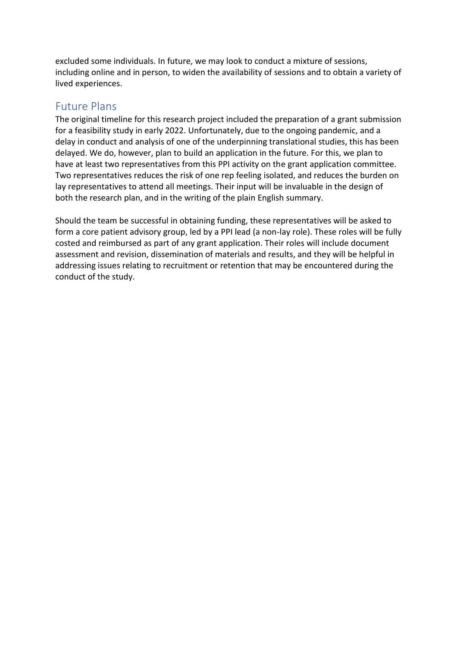excluded some individuals. In future, we may look to conduct a mixture of sessions, including online and in person, to widen the availability of sessions and to obtain a variety of lived experiences.

#### <span id="page-6-0"></span>Future Plans

The original timeline for this research project included the preparation of a grant submission for a feasibility study in early 2022. Unfortunately, due to the ongoing pandemic, and a delay in conduct and analysis of one of the underpinning translational studies, this has been delayed. We do, however, plan to build an application in the future. For this, we plan to have at least two representatives from this PPI activity on the grant application committee. Two representatives reduces the risk of one rep feeling isolated, and reduces the burden on lay representatives to attend all meetings. Their input will be invaluable in the design of both the research plan, and in the writing of the plain English summary.

Should the team be successful in obtaining funding, these representatives will be asked to form a core patient advisory group, led by a PPI lead (a non-lay role). These roles will be fully costed and reimbursed as part of any grant application. Their roles will include document assessment and revision, dissemination of materials and results, and they will be helpful in addressing issues relating to recruitment or retention that may be encountered during the conduct of the study.